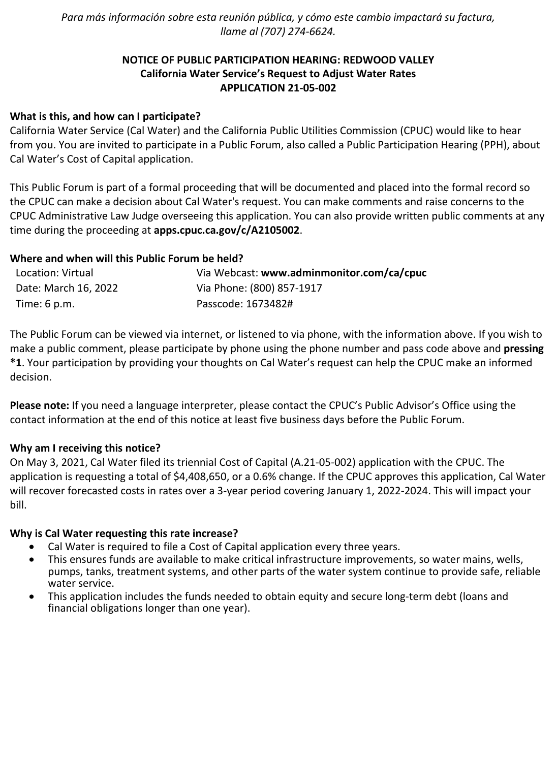*Para más información sobre esta reunión pública, y cómo este cambio impactará su factura, llame al (707) 274-6624.*

# **NOTICE OF PUBLIC PARTICIPATION HEARING: REDWOOD VALLEY California Water Service's Request to Adjust Water Rates APPLICATION 21-05-002**

## **What is this, and how can I participate?**

California Water Service (Cal Water) and the California Public Utilities Commission (CPUC) would like to hear from you. You are invited to participate in a Public Forum, also called a Public Participation Hearing (PPH), about Cal Water's Cost of Capital application.

This Public Forum is part of a formal proceeding that will be documented and placed into the formal record so the CPUC can make a decision about Cal Water's request. You can make comments and raise concerns to the CPUC Administrative Law Judge overseeing this application. You can also provide written public comments at any time during the proceeding at **[apps.cpuc.ca.gov/c/A2105002](https://apps.cpuc.ca.gov/apex/f?p=401:65:0::NO:RP,57,RIR:P5_PROCEEDING_SELECT:A2105002)**.

## **Where and when will this Public Forum be held?**

| Location: Virtual    | Via Webcast: www.adminmonitor.com/ca/cpuc |
|----------------------|-------------------------------------------|
| Date: March 16, 2022 | Via Phone: (800) 857-1917                 |
| Time: 6 p.m.         | Passcode: 1673482#                        |

The Public Forum can be viewed via internet, or listened to via phone, with the information above. If you wish to make a public comment, please participate by phone using the phone number and pass code above and **pressing \*1**. Your participation by providing your thoughts on Cal Water's request can help the CPUC make an informed decision.

**Please note:** If you need a language interpreter, please contact the CPUC's Public Advisor's Office using the contact information at the end of this notice at least five business days before the Public Forum.

#### **Why am I receiving this notice?**

On May 3, 2021, Cal Water filed its triennial Cost of Capital (A.21-05-002) application with the CPUC. The application is requesting a total of \$4,408,650, or a 0.6% change. If the CPUC approves this application, Cal Water will recover forecasted costs in rates over a 3-year period covering January 1, 2022-2024. This will impact your bill.

#### **Why is Cal Water requesting this rate increase?**

- Cal Water is required to file a Cost of Capital application every three years.
- This ensures funds are available to make critical infrastructure improvements, so water mains, wells, pumps, tanks, treatment systems, and other parts of the water system continue to provide safe, reliable water service.
- This application includes the funds needed to obtain equity and secure long-term debt (loans and financial obligations longer than one year).